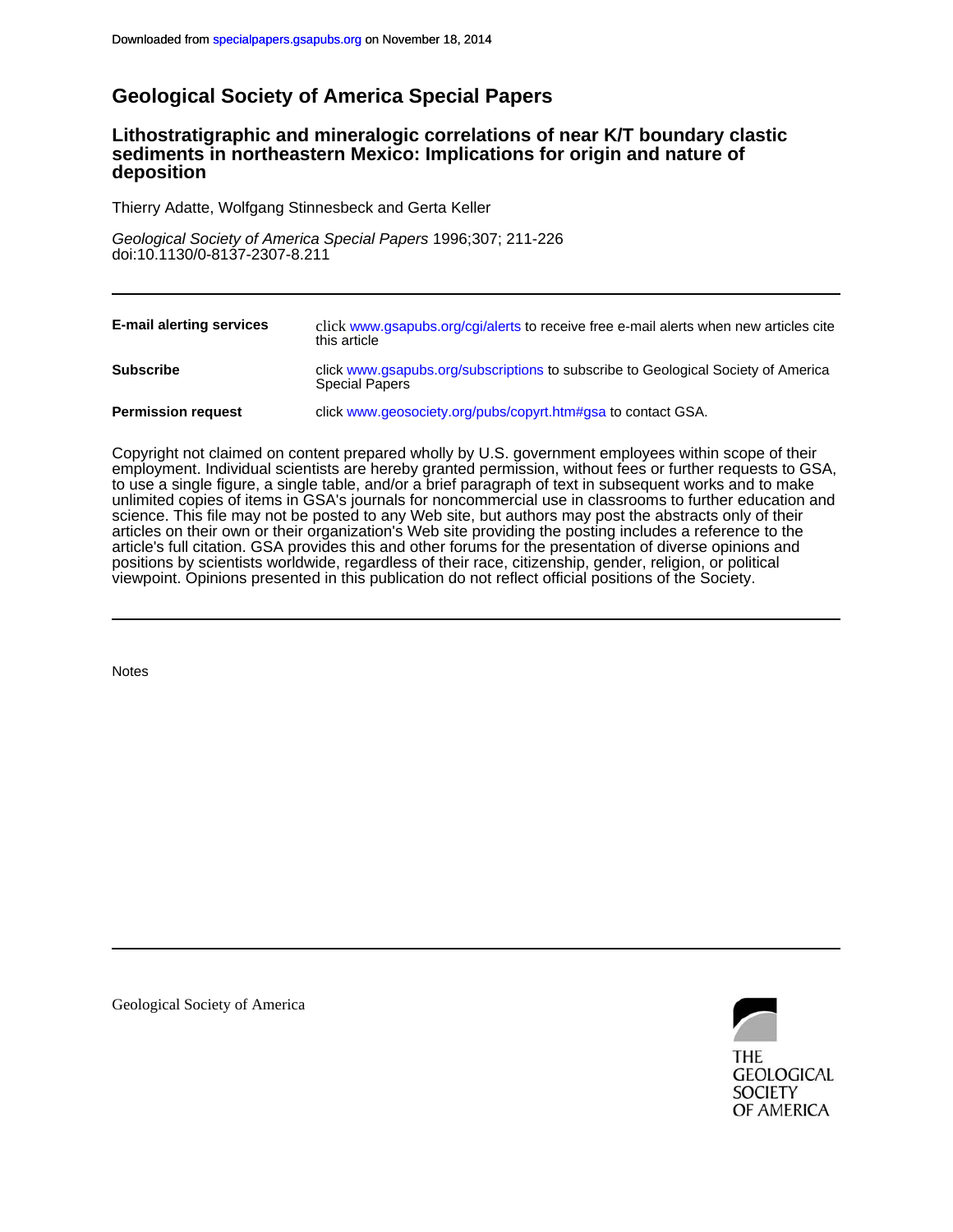# **Geological Society of America Special Papers**

# **deposition sediments in northeastern Mexico: Implications for origin and nature of Lithostratigraphic and mineralogic correlations of near K/T boundary clastic**

Thierry Adatte, Wolfgang Stinnesbeck and Gerta Keller

doi:10.1130/0-8137-2307-8.211 Geological Society of America Special Papers 1996;307; 211-226

| <b>E-mail alerting services</b> | click www.gsapubs.org/cgi/alerts to receive free e-mail alerts when new articles cite<br>this article      |
|---------------------------------|------------------------------------------------------------------------------------------------------------|
| <b>Subscribe</b>                | click www.gsapubs.org/subscriptions to subscribe to Geological Society of America<br><b>Special Papers</b> |
| <b>Permission request</b>       | click www.geosociety.org/pubs/copyrt.htm#gsa to contact GSA.                                               |

viewpoint. Opinions presented in this publication do not reflect official positions of the Society. positions by scientists worldwide, regardless of their race, citizenship, gender, religion, or political article's full citation. GSA provides this and other forums for the presentation of diverse opinions and articles on their own or their organization's Web site providing the posting includes a reference to the science. This file may not be posted to any Web site, but authors may post the abstracts only of their unlimited copies of items in GSA's journals for noncommercial use in classrooms to further education and to use a single figure, a single table, and/or a brief paragraph of text in subsequent works and to make employment. Individual scientists are hereby granted permission, without fees or further requests to GSA, Copyright not claimed on content prepared wholly by U.S. government employees within scope of their

**Notes** 

Geological Society of America



THE **GEOLOGICAL SOCIETY** OF AMERICA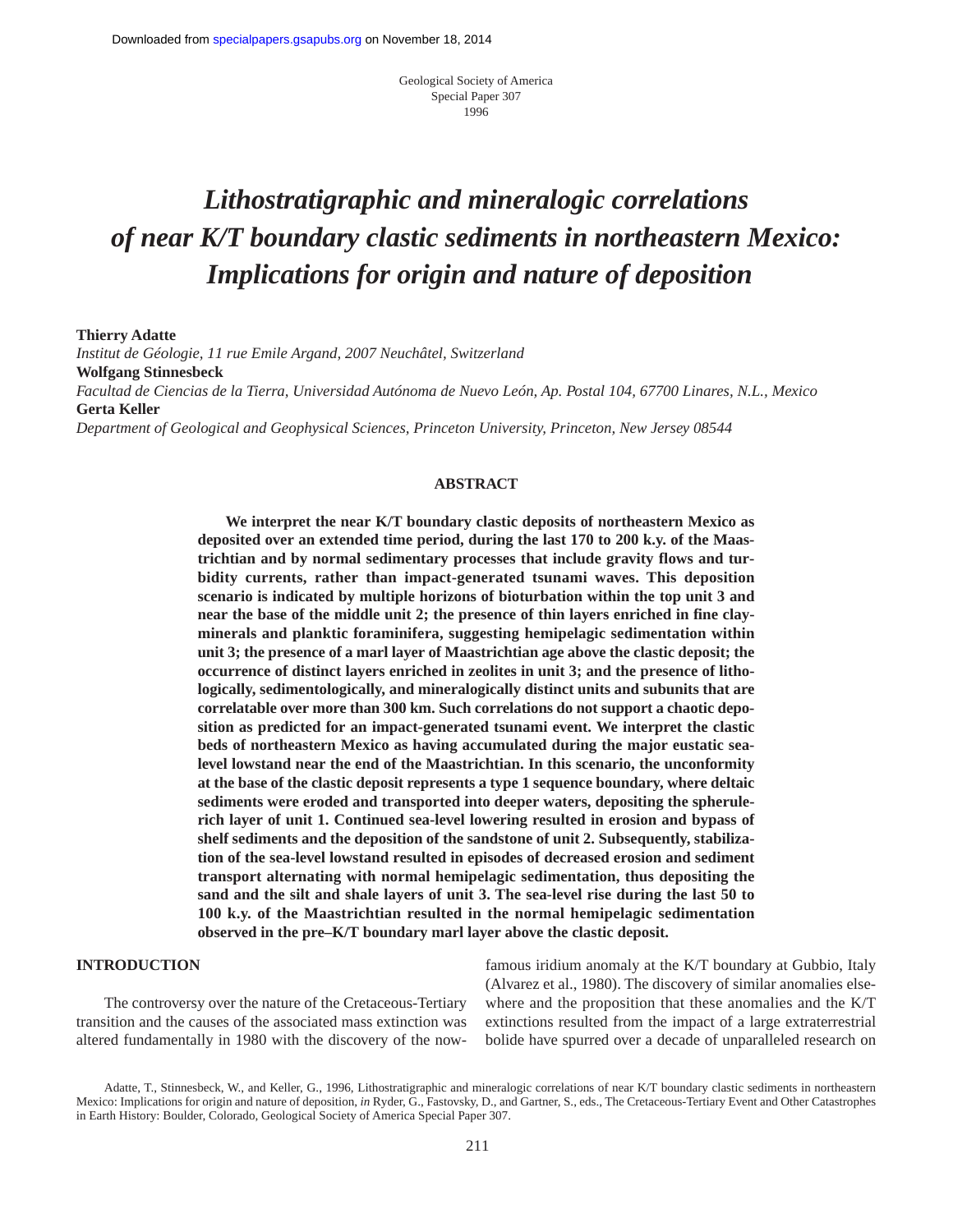Geological Society of America Special Paper 307 1996

# *Lithostratigraphic and mineralogic correlations of near K/T boundary clastic sediments in northeastern Mexico: Implications for origin and nature of deposition*

**Thierry Adatte**

*Institut de Géologie, 11 rue Emile Argand, 2007 Neuchâtel, Switzerland* **Wolfgang Stinnesbeck** *Facultad de Ciencias de la Tierra, Universidad Autónoma de Nuevo León, Ap. Postal 104, 67700 Linares, N.L., Mexico* **Gerta Keller**

*Department of Geological and Geophysical Sciences, Princeton University, Princeton, New Jersey 08544*

#### **ABSTRACT**

**We interpret the near K/T boundary clastic deposits of northeastern Mexico as deposited over an extended time period, during the last 170 to 200 k.y. of the Maastrichtian and by normal sedimentary processes that include gravity flows and turbidity currents, rather than impact-generated tsunami waves. This deposition scenario is indicated by multiple horizons of bioturbation within the top unit 3 and near the base of the middle unit 2; the presence of thin layers enriched in fine clayminerals and planktic foraminifera, suggesting hemipelagic sedimentation within unit 3; the presence of a marl layer of Maastrichtian age above the clastic deposit; the occurrence of distinct layers enriched in zeolites in unit 3; and the presence of lithologically, sedimentologically, and mineralogically distinct units and subunits that are correlatable over more than 300 km. Such correlations do not support a chaotic deposition as predicted for an impact-generated tsunami event. We interpret the clastic beds of northeastern Mexico as having accumulated during the major eustatic sealevel lowstand near the end of the Maastrichtian. In this scenario, the unconformity at the base of the clastic deposit represents a type 1 sequence boundary, where deltaic sediments were eroded and transported into deeper waters, depositing the spherulerich layer of unit 1. Continued sea-level lowering resulted in erosion and bypass of shelf sediments and the deposition of the sandstone of unit 2. Subsequently, stabilization of the sea-level lowstand resulted in episodes of decreased erosion and sediment transport alternating with normal hemipelagic sedimentation, thus depositing the sand and the silt and shale layers of unit 3. The sea-level rise during the last 50 to 100 k.y. of the Maastrichtian resulted in the normal hemipelagic sedimentation observed in the pre–K/T boundary marl layer above the clastic deposit.**

# **INTRODUCTION**

The controversy over the nature of the Cretaceous-Tertiary transition and the causes of the associated mass extinction was altered fundamentally in 1980 with the discovery of the nowfamous iridium anomaly at the K/T boundary at Gubbio, Italy (Alvarez et al., 1980). The discovery of similar anomalies elsewhere and the proposition that these anomalies and the K/T extinctions resulted from the impact of a large extraterrestrial bolide have spurred over a decade of unparalleled research on

Adatte, T., Stinnesbeck, W., and Keller, G., 1996, Lithostratigraphic and mineralogic correlations of near K/T boundary clastic sediments in northeastern Mexico: Implications for origin and nature of deposition, *in* Ryder, G., Fastovsky, D., and Gartner, S., eds.*,* The Cretaceous-Tertiary Event and Other Catastrophes in Earth History: Boulder, Colorado, Geological Society of America Special Paper 307.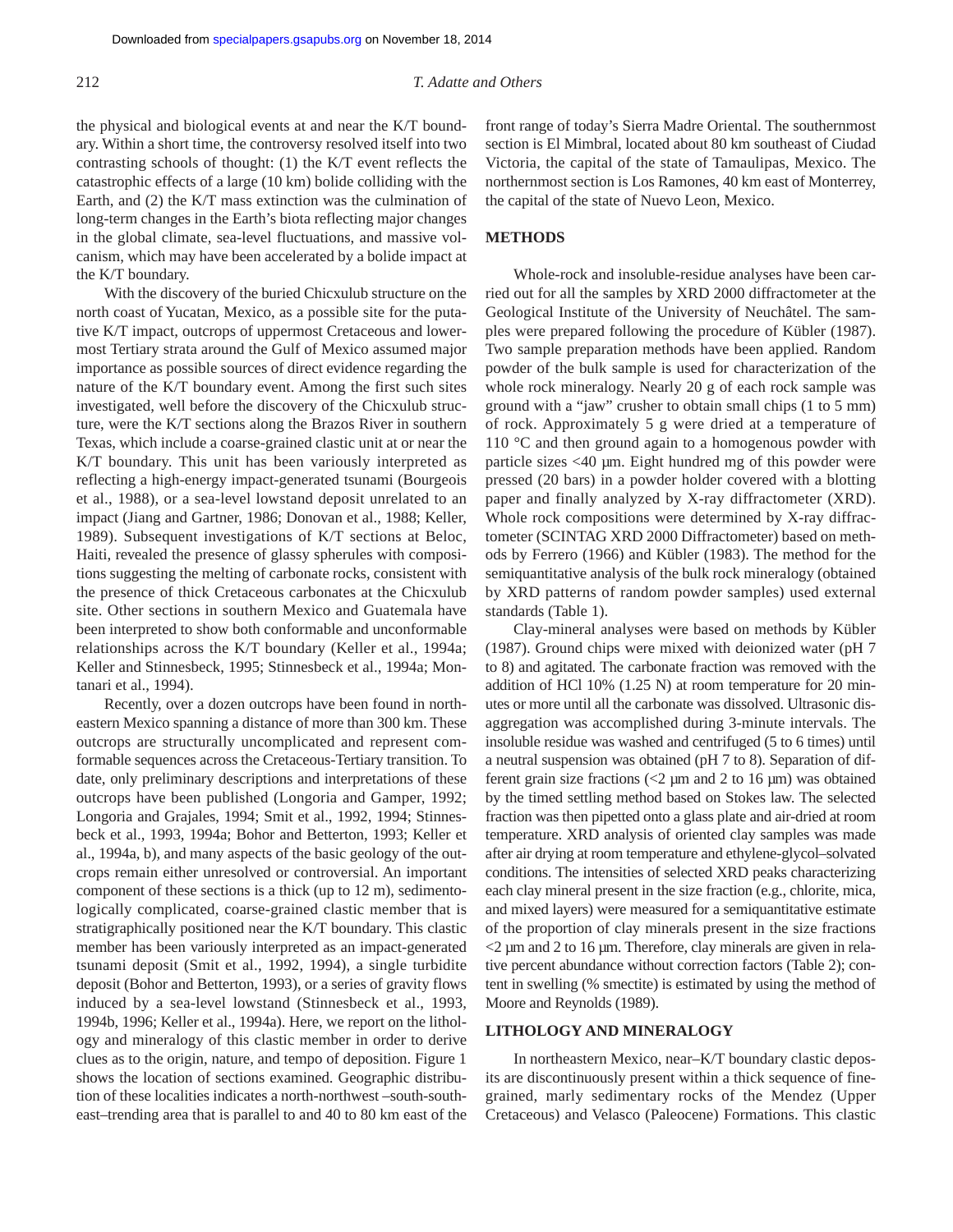the physical and biological events at and near the K/T boundary. Within a short time, the controversy resolved itself into two contrasting schools of thought: (1) the K/T event reflects the catastrophic effects of a large (10 km) bolide colliding with the Earth, and (2) the K/T mass extinction was the culmination of long-term changes in the Earth's biota reflecting major changes in the global climate, sea-level fluctuations, and massive volcanism, which may have been accelerated by a bolide impact at the K/T boundary.

With the discovery of the buried Chicxulub structure on the north coast of Yucatan, Mexico, as a possible site for the putative K/T impact, outcrops of uppermost Cretaceous and lowermost Tertiary strata around the Gulf of Mexico assumed major importance as possible sources of direct evidence regarding the nature of the K/T boundary event. Among the first such sites investigated, well before the discovery of the Chicxulub structure, were the K/T sections along the Brazos River in southern Texas, which include a coarse-grained clastic unit at or near the K/T boundary. This unit has been variously interpreted as reflecting a high-energy impact-generated tsunami (Bourgeois et al., 1988), or a sea-level lowstand deposit unrelated to an impact (Jiang and Gartner, 1986; Donovan et al., 1988; Keller, 1989). Subsequent investigations of K/T sections at Beloc, Haiti, revealed the presence of glassy spherules with compositions suggesting the melting of carbonate rocks, consistent with the presence of thick Cretaceous carbonates at the Chicxulub site. Other sections in southern Mexico and Guatemala have been interpreted to show both conformable and unconformable relationships across the K/T boundary (Keller et al., 1994a; Keller and Stinnesbeck, 1995; Stinnesbeck et al., 1994a; Montanari et al., 1994).

Recently, over a dozen outcrops have been found in northeastern Mexico spanning a distance of more than 300 km. These outcrops are structurally uncomplicated and represent comformable sequences across the Cretaceous-Tertiary transition. To date, only preliminary descriptions and interpretations of these outcrops have been published (Longoria and Gamper, 1992; Longoria and Grajales, 1994; Smit et al., 1992, 1994; Stinnesbeck et al., 1993, 1994a; Bohor and Betterton, 1993; Keller et al., 1994a, b), and many aspects of the basic geology of the outcrops remain either unresolved or controversial. An important component of these sections is a thick (up to 12 m), sedimentologically complicated, coarse-grained clastic member that is stratigraphically positioned near the K/T boundary. This clastic member has been variously interpreted as an impact-generated tsunami deposit (Smit et al., 1992, 1994), a single turbidite deposit (Bohor and Betterton, 1993), or a series of gravity flows induced by a sea-level lowstand (Stinnesbeck et al., 1993, 1994b, 1996; Keller et al., 1994a). Here, we report on the lithology and mineralogy of this clastic member in order to derive clues as to the origin, nature, and tempo of deposition. Figure 1 shows the location of sections examined. Geographic distribution of these localities indicates a north-northwest –south-southeast–trending area that is parallel to and 40 to 80 km east of the front range of today's Sierra Madre Oriental. The southernmost section is El Mimbral, located about 80 km southeast of Ciudad Victoria, the capital of the state of Tamaulipas, Mexico. The northernmost section is Los Ramones, 40 km east of Monterrey, the capital of the state of Nuevo Leon, Mexico.

# **METHODS**

Whole-rock and insoluble-residue analyses have been carried out for all the samples by XRD 2000 diffractometer at the Geological Institute of the University of Neuchâtel. The samples were prepared following the procedure of Kübler (1987). Two sample preparation methods have been applied. Random powder of the bulk sample is used for characterization of the whole rock mineralogy. Nearly 20 g of each rock sample was ground with a "jaw" crusher to obtain small chips (1 to 5 mm) of rock. Approximately 5 g were dried at a temperature of 110 °C and then ground again to a homogenous powder with particle sizes <40 µm. Eight hundred mg of this powder were pressed (20 bars) in a powder holder covered with a blotting paper and finally analyzed by X-ray diffractometer (XRD). Whole rock compositions were determined by X-ray diffractometer (SCINTAG XRD 2000 Diffractometer) based on methods by Ferrero (1966) and Kübler (1983). The method for the semiquantitative analysis of the bulk rock mineralogy (obtained by XRD patterns of random powder samples) used external standards (Table 1).

Clay-mineral analyses were based on methods by Kübler (1987). Ground chips were mixed with deionized water (pH 7 to 8) and agitated. The carbonate fraction was removed with the addition of HCl 10% (1.25 N) at room temperature for 20 minutes or more until all the carbonate was dissolved. Ultrasonic disaggregation was accomplished during 3-minute intervals. The insoluble residue was washed and centrifuged (5 to 6 times) until a neutral suspension was obtained (pH 7 to 8). Separation of different grain size fractions ( $\langle 2 \mu \text{m} \rangle$  and 2 to 16  $\mu$ m) was obtained by the timed settling method based on Stokes law. The selected fraction was then pipetted onto a glass plate and air-dried at room temperature. XRD analysis of oriented clay samples was made after air drying at room temperature and ethylene-glycol–solvated conditions. The intensities of selected XRD peaks characterizing each clay mineral present in the size fraction (e.g., chlorite, mica, and mixed layers) were measured for a semiquantitative estimate of the proportion of clay minerals present in the size fractions  $<$ 2  $\mu$ m and 2 to 16  $\mu$ m. Therefore, clay minerals are given in relative percent abundance without correction factors (Table 2); content in swelling (% smectite) is estimated by using the method of Moore and Reynolds (1989).

#### **LITHOLOGY AND MINERALOGY**

In northeastern Mexico, near–K/T boundary clastic deposits are discontinuously present within a thick sequence of finegrained, marly sedimentary rocks of the Mendez (Upper Cretaceous) and Velasco (Paleocene) Formations. This clastic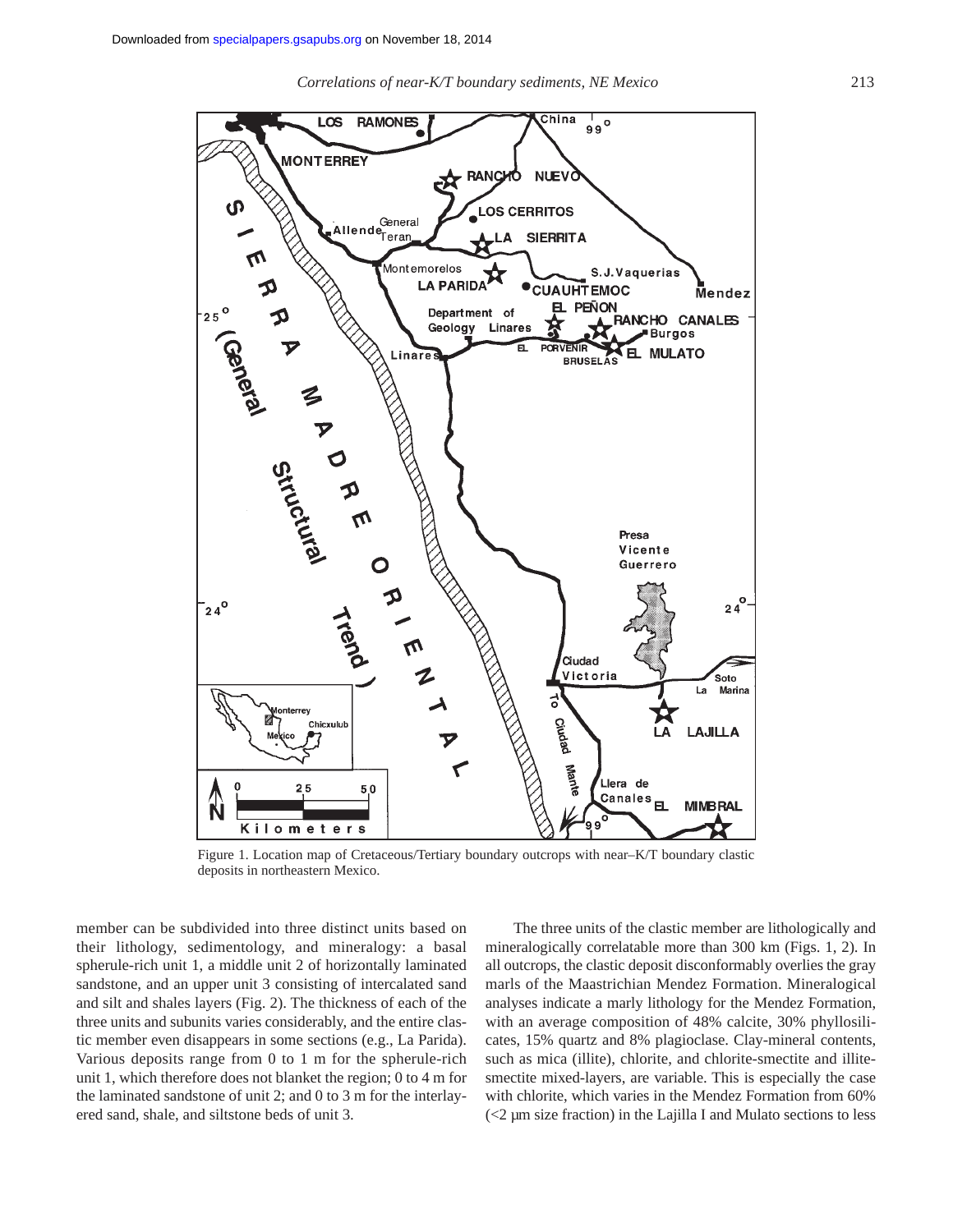*Correlations of near-K/T boundary sediments, NE Mexico* 213



Figure 1. Location map of Cretaceous/Tertiary boundary outcrops with near–K/T boundary clastic deposits in northeastern Mexico.

member can be subdivided into three distinct units based on their lithology, sedimentology, and mineralogy: a basal spherule-rich unit 1, a middle unit 2 of horizontally laminated sandstone, and an upper unit 3 consisting of intercalated sand and silt and shales layers (Fig. 2). The thickness of each of the three units and subunits varies considerably, and the entire clastic member even disappears in some sections (e.g., La Parida). Various deposits range from 0 to 1 m for the spherule-rich unit 1, which therefore does not blanket the region; 0 to 4 m for the laminated sandstone of unit 2; and 0 to 3 m for the interlayered sand, shale, and siltstone beds of unit 3.

The three units of the clastic member are lithologically and mineralogically correlatable more than 300 km (Figs. 1, 2). In all outcrops, the clastic deposit disconformably overlies the gray marls of the Maastrichian Mendez Formation. Mineralogical analyses indicate a marly lithology for the Mendez Formation, with an average composition of 48% calcite, 30% phyllosilicates, 15% quartz and 8% plagioclase. Clay-mineral contents, such as mica (illite), chlorite, and chlorite-smectite and illitesmectite mixed-layers, are variable. This is especially the case with chlorite, which varies in the Mendez Formation from 60% (<2 µm size fraction) in the Lajilla I and Mulato sections to less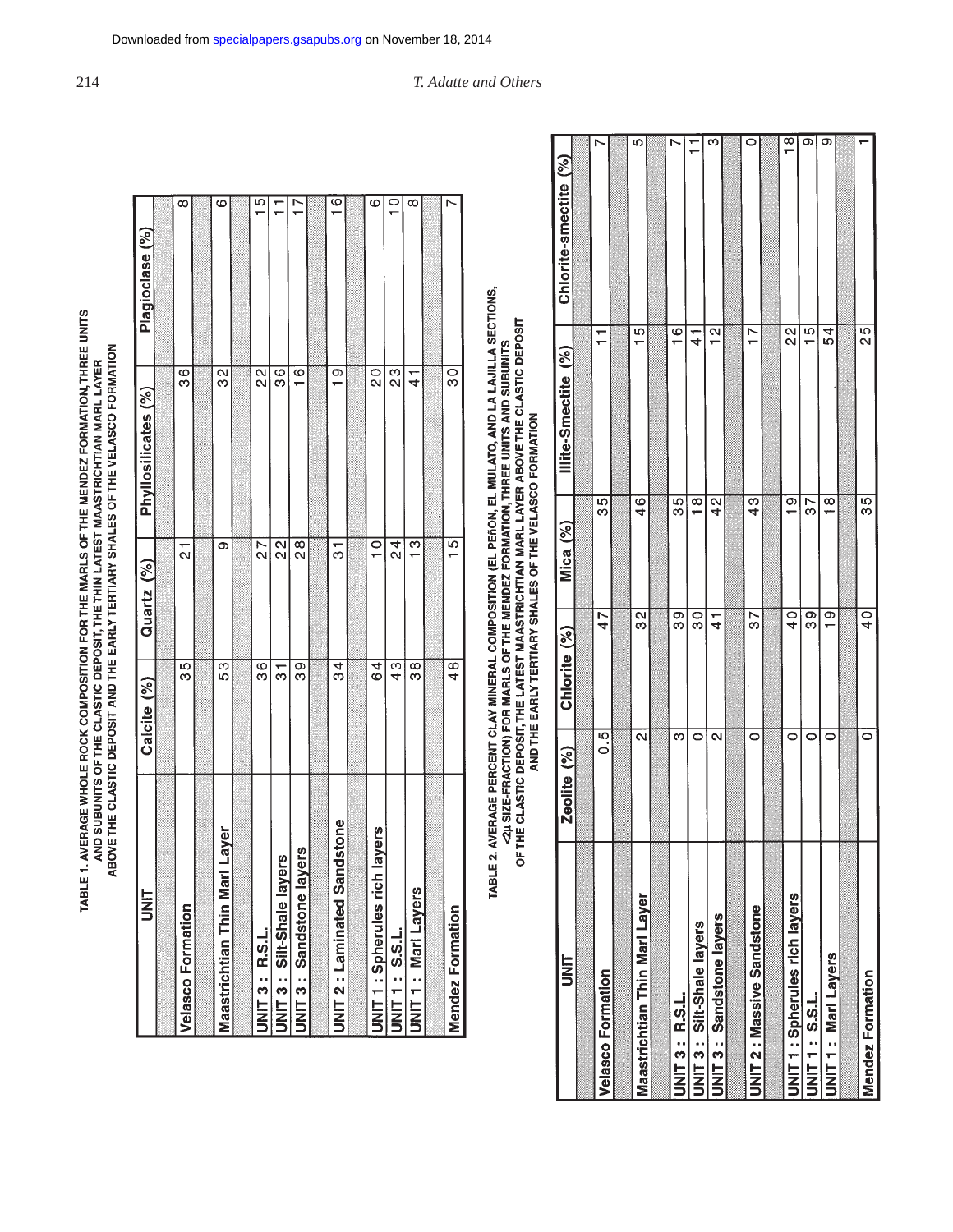| <b>S</b>                           | Calcite (%)     | Quartz (%)       | Phyllosilicates (%) | Plagioclase (%)    |
|------------------------------------|-----------------|------------------|---------------------|--------------------|
|                                    |                 |                  |                     |                    |
| <b>Velasco Formation</b>           | 55              | $\frac{1}{2}$    | $\frac{6}{3}$       | ∞                  |
|                                    |                 |                  |                     |                    |
| larl Layer<br>Maastrichtian Thin M | 53              | თ                | $\frac{2}{3}$       | ဖ                  |
|                                    |                 |                  |                     |                    |
| JNIT 3 : R.S.L.                    | $\overline{38}$ | 27               | $\frac{2}{3}$       | $\overline{5}$     |
| JNIT 3 : Silt-Shale layers         | —<br>თ          | $\frac{2}{3}$    | $\frac{6}{3}$       |                    |
| layers<br>JNIT 3: Sandstone        | 99              | $\frac{8}{2}$    | $\frac{6}{1}$       | Ľ                  |
|                                    |                 |                  |                     |                    |
| <b>JNIT 2: Laminated Sandstone</b> | 34              | 5                | $\circ$             | $\overline{6}$     |
|                                    |                 |                  |                     |                    |
| ch layers<br>UNIT 1 : Spherules ri | 64              | $\sum_{i=1}^{n}$ | $\overline{0}$      | ဖ                  |
| UNIT 1 : S.S.L.                    | ე<br>4          | 24               | $\frac{3}{2}$       | $\overline{\circ}$ |
| UNIT 1: Mari Layers                | ထ<br>က          | $\overline{3}$   | ۳<br>4              | $\infty$           |
|                                    |                 |                  |                     |                    |
| <b>Mendez Formation</b>            | $\frac{8}{4}$   | ίŊ,              | ၀<br>၁              | r                  |
|                                    |                 |                  |                     |                    |

TABLE 2. AVERAGE PERCENT CLAY MINERAL COMPOSITION (EL PEñON, EL MULATO, AND LA LAJILLA SECTIONS,<br>- <2.4 SIZE-FRACTION) FOR MARLS OF THE MENDEZ FORMATION, THREE UNITS AND SUBUNITS<br>- OF THE CLASTIC DEPOSIT, THE LATEST MAASTR

| 三<br>N                          | Zeolite (%)       | Chlorite (%)  | Mica (%)      | Illite-Smectite (%) | Chlorite-smectite (%) |
|---------------------------------|-------------------|---------------|---------------|---------------------|-----------------------|
|                                 |                   |               |               |                     |                       |
| <b>Velasco Formation</b>        | $\overline{5}$    | 47            | 35            | ۳<br>÷              | r                     |
|                                 |                   |               |               |                     |                       |
| Maastrichtian Thin Marl Layer   | $\mathbf{\alpha}$ | 32            | $\frac{6}{4}$ | 15                  | Ю                     |
|                                 |                   |               |               |                     |                       |
| JNIT 3 : R.S.L.                 | က                 | 99            | 35            | $\frac{6}{1}$       | Ņ                     |
| JNIT 3: Silt-Shale layers       |                   | $\frac{8}{3}$ | $\frac{8}{1}$ | ┶                   |                       |
| <b>JNIT 3: Sandstone layers</b> | N                 | $\vec{t}$     | $\frac{2}{4}$ | $\frac{2}{1}$       | ო                     |
|                                 |                   |               |               |                     |                       |
| JNIT 2: Massive Sandstone       | 0                 | 57            | $\frac{3}{4}$ | $\overline{1}$      | 0                     |
|                                 |                   |               |               |                     |                       |
| JNIT 1: Spherules rich layers   | 0                 | $\frac{0}{4}$ | $\frac{1}{2}$ | $\frac{2}{3}$       | $\frac{\infty}{1}$    |
| JNIT 1: S.S.L.                  |                   | თ<br>თ        | 57            | $\frac{5}{1}$       | Ø                     |
| <b>UNIT 1: Marl Layers</b>      | 0                 | $\frac{1}{1}$ | $\frac{8}{1}$ | 54                  | σ                     |
|                                 |                   |               |               |                     |                       |
| <b>Mendez Formation</b>         | 0                 | $\frac{1}{6}$ | 35            | $\frac{5}{2}$       |                       |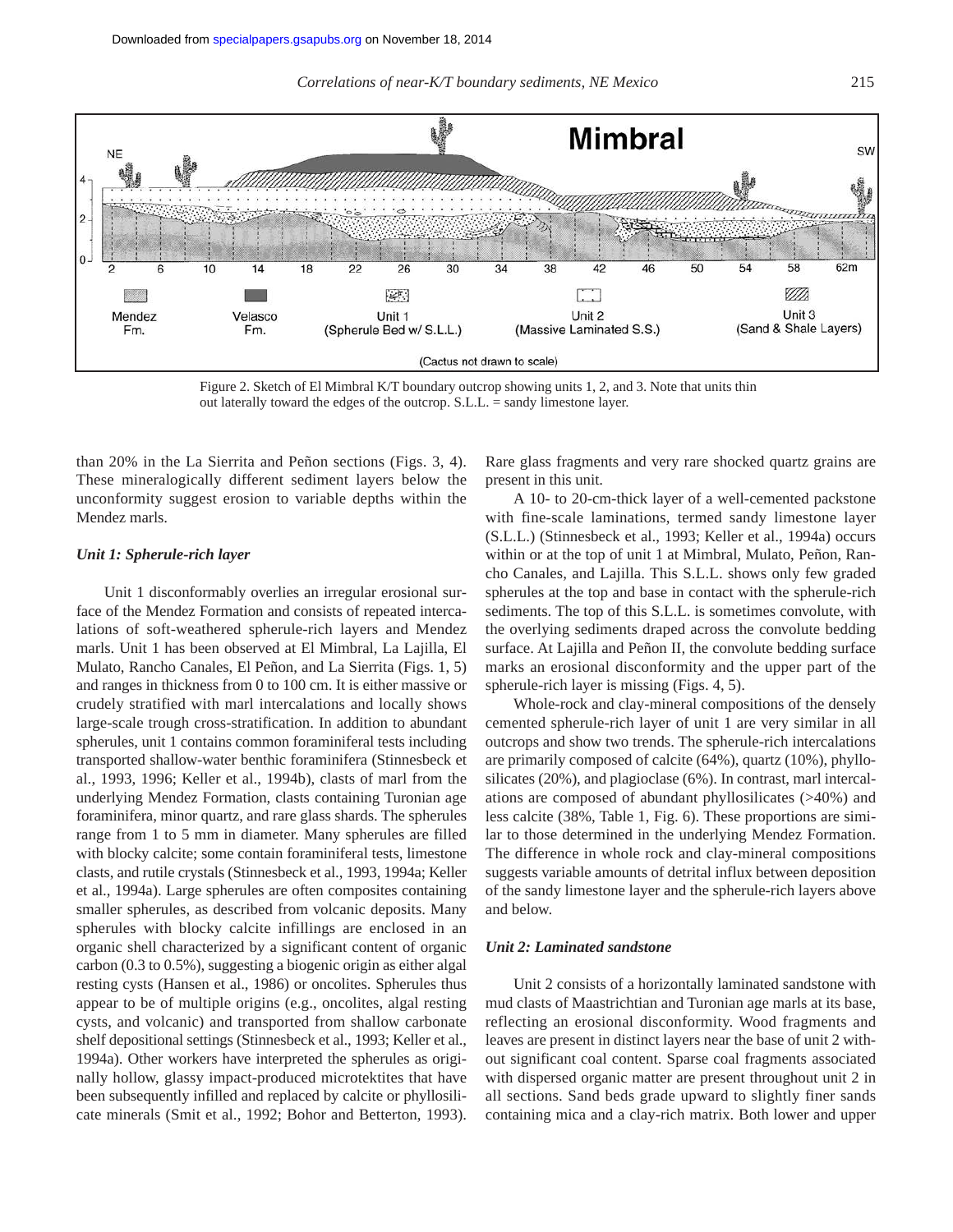

Figure 2. Sketch of El Mimbral K/T boundary outcrop showing units 1, 2, and 3. Note that units thin out laterally toward the edges of the outcrop. S.L.L. = sandy limestone layer.

than 20% in the La Sierrita and Peñon sections (Figs. 3, 4). These mineralogically different sediment layers below the unconformity suggest erosion to variable depths within the Mendez marls.

### *Unit 1: Spherule-rich layer*

Unit 1 disconformably overlies an irregular erosional surface of the Mendez Formation and consists of repeated intercalations of soft-weathered spherule-rich layers and Mendez marls. Unit 1 has been observed at El Mimbral, La Lajilla, El Mulato, Rancho Canales, El Peñon, and La Sierrita (Figs. 1, 5) and ranges in thickness from 0 to 100 cm. It is either massive or crudely stratified with marl intercalations and locally shows large-scale trough cross-stratification. In addition to abundant spherules, unit 1 contains common foraminiferal tests including transported shallow-water benthic foraminifera (Stinnesbeck et al., 1993, 1996; Keller et al., 1994b), clasts of marl from the underlying Mendez Formation, clasts containing Turonian age foraminifera, minor quartz, and rare glass shards. The spherules range from 1 to 5 mm in diameter. Many spherules are filled with blocky calcite; some contain foraminiferal tests, limestone clasts, and rutile crystals (Stinnesbeck et al., 1993, 1994a; Keller et al., 1994a). Large spherules are often composites containing smaller spherules, as described from volcanic deposits. Many spherules with blocky calcite infillings are enclosed in an organic shell characterized by a significant content of organic carbon (0.3 to 0.5%), suggesting a biogenic origin as either algal resting cysts (Hansen et al., 1986) or oncolites. Spherules thus appear to be of multiple origins (e.g., oncolites, algal resting cysts, and volcanic) and transported from shallow carbonate shelf depositional settings (Stinnesbeck et al., 1993; Keller et al., 1994a). Other workers have interpreted the spherules as originally hollow, glassy impact-produced microtektites that have been subsequently infilled and replaced by calcite or phyllosilicate minerals (Smit et al., 1992; Bohor and Betterton, 1993).

Rare glass fragments and very rare shocked quartz grains are present in this unit.

A 10- to 20-cm-thick layer of a well-cemented packstone with fine-scale laminations, termed sandy limestone layer (S.L.L.) (Stinnesbeck et al., 1993; Keller et al., 1994a) occurs within or at the top of unit 1 at Mimbral, Mulato, Peñon, Rancho Canales, and Lajilla. This S.L.L. shows only few graded spherules at the top and base in contact with the spherule-rich sediments. The top of this S.L.L. is sometimes convolute, with the overlying sediments draped across the convolute bedding surface. At Lajilla and Peñon II, the convolute bedding surface marks an erosional disconformity and the upper part of the spherule-rich layer is missing (Figs. 4, 5).

Whole-rock and clay-mineral compositions of the densely cemented spherule-rich layer of unit 1 are very similar in all outcrops and show two trends. The spherule-rich intercalations are primarily composed of calcite (64%), quartz (10%), phyllosilicates (20%), and plagioclase (6%). In contrast, marl intercalations are composed of abundant phyllosilicates (>40%) and less calcite (38%, Table 1, Fig. 6). These proportions are similar to those determined in the underlying Mendez Formation. The difference in whole rock and clay-mineral compositions suggests variable amounts of detrital influx between deposition of the sandy limestone layer and the spherule-rich layers above and below.

## *Unit 2: Laminated sandstone*

Unit 2 consists of a horizontally laminated sandstone with mud clasts of Maastrichtian and Turonian age marls at its base, reflecting an erosional disconformity. Wood fragments and leaves are present in distinct layers near the base of unit 2 without significant coal content. Sparse coal fragments associated with dispersed organic matter are present throughout unit 2 in all sections. Sand beds grade upward to slightly finer sands containing mica and a clay-rich matrix. Both lower and upper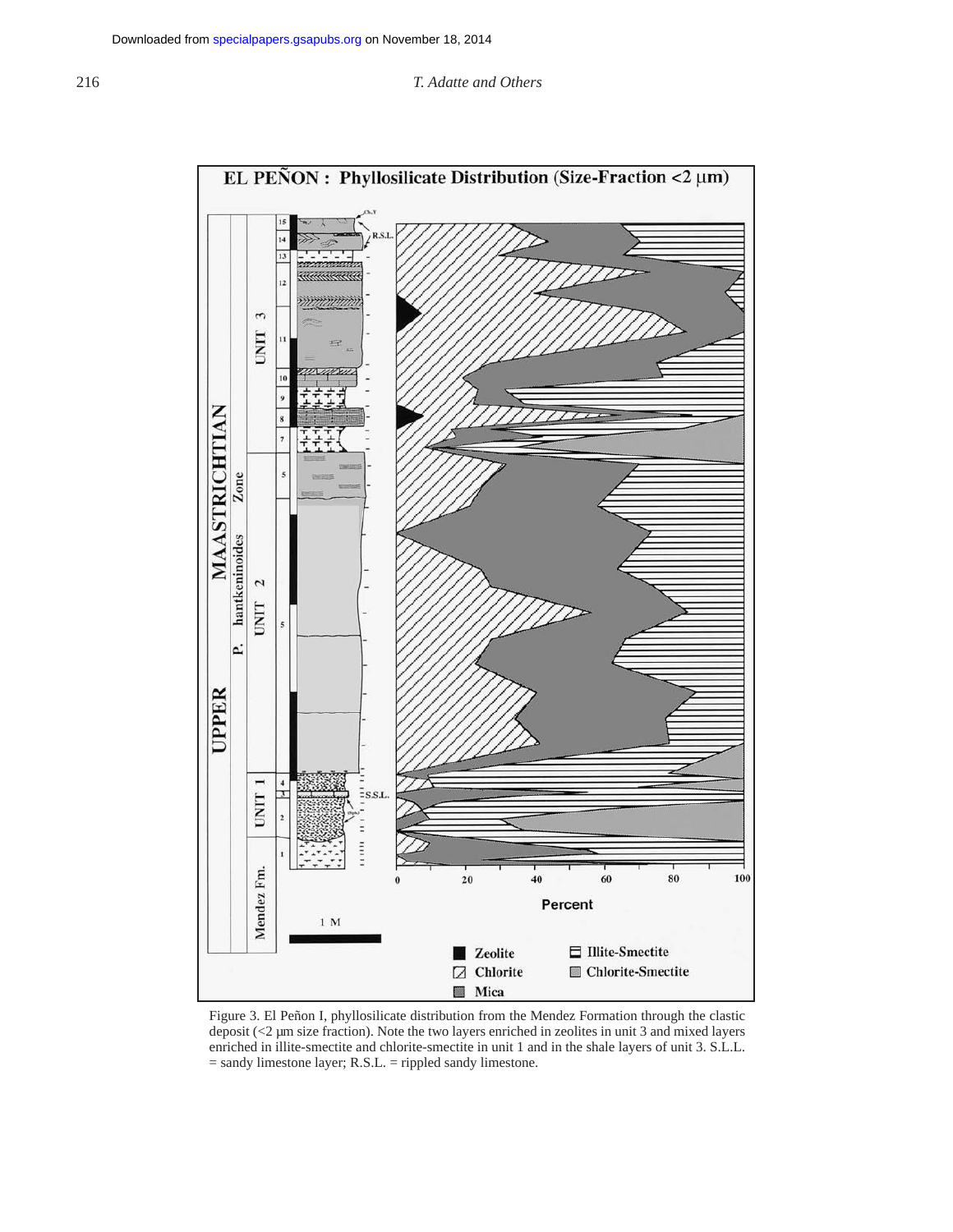

Figure 3. El Peñon I, phyllosilicate distribution from the Mendez Formation through the clastic deposit (<2 µm size fraction). Note the two layers enriched in zeolites in unit 3 and mixed layers enriched in illite-smectite and chlorite-smectite in unit 1 and in the shale layers of unit 3. S.L.L. = sandy limestone layer; R.S.L. = rippled sandy limestone.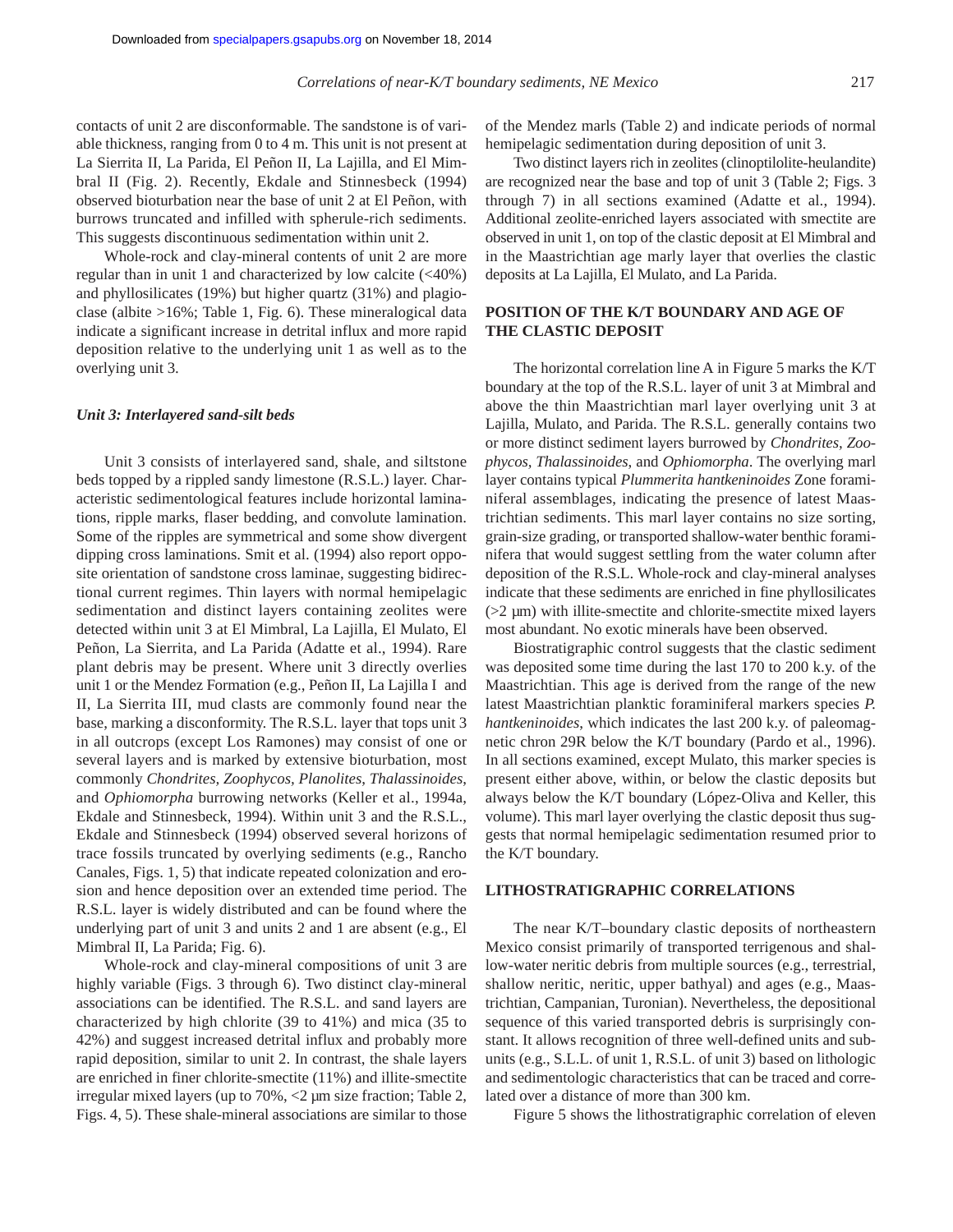contacts of unit 2 are disconformable. The sandstone is of variable thickness, ranging from 0 to 4 m. This unit is not present at La Sierrita II, La Parida, El Peñon II, La Lajilla, and El Mimbral II (Fig. 2). Recently, Ekdale and Stinnesbeck (1994) observed bioturbation near the base of unit 2 at El Peñon, with burrows truncated and infilled with spherule-rich sediments. This suggests discontinuous sedimentation within unit 2.

Whole-rock and clay-mineral contents of unit 2 are more regular than in unit 1 and characterized by low calcite (<40%) and phyllosilicates (19%) but higher quartz (31%) and plagioclase (albite >16%; Table 1, Fig. 6). These mineralogical data indicate a significant increase in detrital influx and more rapid deposition relative to the underlying unit 1 as well as to the overlying unit 3.

#### *Unit 3: Interlayered sand-silt beds*

Unit 3 consists of interlayered sand, shale, and siltstone beds topped by a rippled sandy limestone (R.S.L.) layer. Characteristic sedimentological features include horizontal laminations, ripple marks, flaser bedding, and convolute lamination. Some of the ripples are symmetrical and some show divergent dipping cross laminations. Smit et al. (1994) also report opposite orientation of sandstone cross laminae, suggesting bidirectional current regimes. Thin layers with normal hemipelagic sedimentation and distinct layers containing zeolites were detected within unit 3 at El Mimbral, La Lajilla, El Mulato, El Peñon, La Sierrita, and La Parida (Adatte et al., 1994). Rare plant debris may be present. Where unit 3 directly overlies unit 1 or the Mendez Formation (e.g., Peñon II, La Lajilla I and II, La Sierrita III, mud clasts are commonly found near the base, marking a disconformity. The R.S.L. layer that tops unit 3 in all outcrops (except Los Ramones) may consist of one or several layers and is marked by extensive bioturbation, most commonly *Chondrites, Zoophycos, Planolites*, *Thalassinoides*, and *Ophiomorpha* burrowing networks (Keller et al., 1994a, Ekdale and Stinnesbeck, 1994). Within unit 3 and the R.S.L., Ekdale and Stinnesbeck (1994) observed several horizons of trace fossils truncated by overlying sediments (e.g., Rancho Canales, Figs. 1, 5) that indicate repeated colonization and erosion and hence deposition over an extended time period. The R.S.L. layer is widely distributed and can be found where the underlying part of unit 3 and units 2 and 1 are absent (e.g., El Mimbral II, La Parida; Fig. 6).

Whole-rock and clay-mineral compositions of unit 3 are highly variable (Figs. 3 through 6). Two distinct clay-mineral associations can be identified. The R.S.L. and sand layers are characterized by high chlorite (39 to 41%) and mica (35 to 42%) and suggest increased detrital influx and probably more rapid deposition, similar to unit 2. In contrast, the shale layers are enriched in finer chlorite-smectite (11%) and illite-smectite irregular mixed layers (up to 70%, <2 µm size fraction; Table 2, Figs. 4, 5). These shale-mineral associations are similar to those

of the Mendez marls (Table 2) and indicate periods of normal hemipelagic sedimentation during deposition of unit 3.

Two distinct layers rich in zeolites (clinoptilolite-heulandite) are recognized near the base and top of unit 3 (Table 2; Figs. 3 through 7) in all sections examined (Adatte et al., 1994). Additional zeolite-enriched layers associated with smectite are observed in unit 1, on top of the clastic deposit at El Mimbral and in the Maastrichtian age marly layer that overlies the clastic deposits at La Lajilla, El Mulato, and La Parida.

# **POSITION OF THE K/T BOUNDARY AND AGE OF THE CLASTIC DEPOSIT**

The horizontal correlation line A in Figure 5 marks the K/T boundary at the top of the R.S.L. layer of unit 3 at Mimbral and above the thin Maastrichtian marl layer overlying unit 3 at Lajilla, Mulato, and Parida. The R.S.L. generally contains two or more distinct sediment layers burrowed by *Chondrites, Zoophycos, Thalassinoides*, and *Ophiomorpha*. The overlying marl layer contains typical *Plummerita hantkeninoides* Zone foraminiferal assemblages, indicating the presence of latest Maastrichtian sediments. This marl layer contains no size sorting, grain-size grading, or transported shallow-water benthic foraminifera that would suggest settling from the water column after deposition of the R.S.L. Whole-rock and clay-mineral analyses indicate that these sediments are enriched in fine phyllosilicates  $(22 \mu m)$  with illite-smectite and chlorite-smectite mixed layers most abundant. No exotic minerals have been observed.

Biostratigraphic control suggests that the clastic sediment was deposited some time during the last 170 to 200 k.y. of the Maastrichtian. This age is derived from the range of the new latest Maastrichtian planktic foraminiferal markers species *P. hantkeninoides*, which indicates the last 200 k.y. of paleomagnetic chron 29R below the K/T boundary (Pardo et al., 1996). In all sections examined, except Mulato, this marker species is present either above, within, or below the clastic deposits but always below the K/T boundary (López-Oliva and Keller, this volume). This marl layer overlying the clastic deposit thus suggests that normal hemipelagic sedimentation resumed prior to the K/T boundary.

#### **LITHOSTRATIGRAPHIC CORRELATIONS**

The near K/T–boundary clastic deposits of northeastern Mexico consist primarily of transported terrigenous and shallow-water neritic debris from multiple sources (e.g., terrestrial, shallow neritic, neritic, upper bathyal) and ages (e.g., Maastrichtian, Campanian, Turonian). Nevertheless, the depositional sequence of this varied transported debris is surprisingly constant. It allows recognition of three well-defined units and subunits (e.g., S.L.L. of unit 1, R.S.L. of unit 3) based on lithologic and sedimentologic characteristics that can be traced and correlated over a distance of more than 300 km.

Figure 5 shows the lithostratigraphic correlation of eleven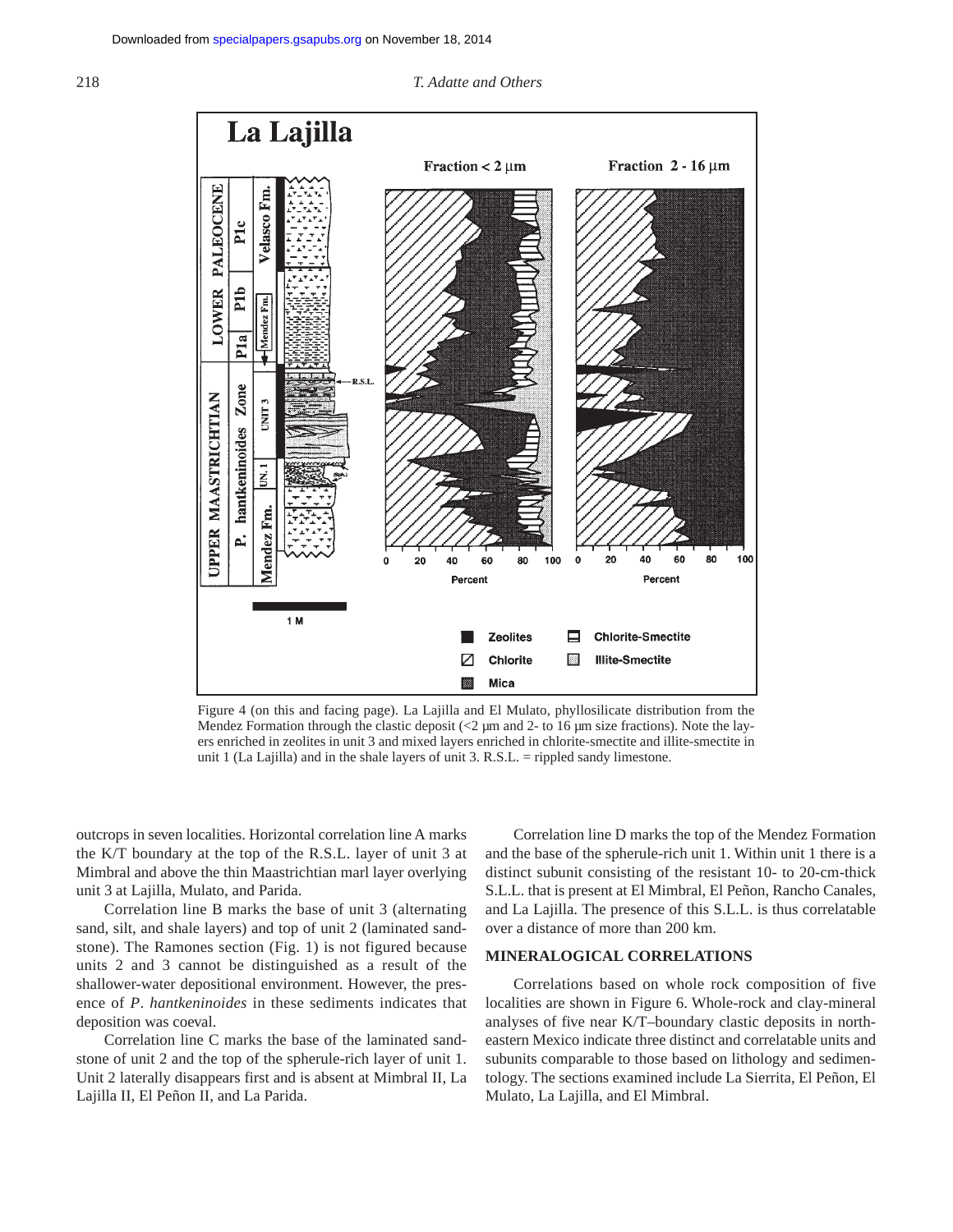#### 218 *T. Adatte and Others*



Figure 4 (on this and facing page). La Lajilla and El Mulato, phyllosilicate distribution from the Mendez Formation through the clastic deposit  $\ll$  2 µm and 2- to 16 µm size fractions). Note the layers enriched in zeolites in unit 3 and mixed layers enriched in chlorite-smectite and illite-smectite in unit 1 (La Lajilla) and in the shale layers of unit 3. R.S.L. = rippled sandy limestone.

outcrops in seven localities. Horizontal correlation line A marks the K/T boundary at the top of the R.S.L. layer of unit 3 at Mimbral and above the thin Maastrichtian marl layer overlying unit 3 at Lajilla, Mulato, and Parida.

Correlation line B marks the base of unit 3 (alternating sand, silt, and shale layers) and top of unit 2 (laminated sandstone). The Ramones section (Fig. 1) is not figured because units 2 and 3 cannot be distinguished as a result of the shallower-water depositional environment. However, the presence of *P*. *hantkeninoides* in these sediments indicates that deposition was coeval.

Correlation line C marks the base of the laminated sandstone of unit 2 and the top of the spherule-rich layer of unit 1. Unit 2 laterally disappears first and is absent at Mimbral II, La Lajilla II, El Peñon II, and La Parida.

Correlation line D marks the top of the Mendez Formation and the base of the spherule-rich unit 1. Within unit 1 there is a distinct subunit consisting of the resistant 10- to 20-cm-thick S.L.L. that is present at El Mimbral, El Peñon, Rancho Canales, and La Lajilla. The presence of this S.L.L. is thus correlatable over a distance of more than 200 km.

# **MINERALOGICAL CORRELATIONS**

Correlations based on whole rock composition of five localities are shown in Figure 6. Whole-rock and clay-mineral analyses of five near K/T–boundary clastic deposits in northeastern Mexico indicate three distinct and correlatable units and subunits comparable to those based on lithology and sedimentology. The sections examined include La Sierrita, El Peñon, El Mulato, La Lajilla, and El Mimbral.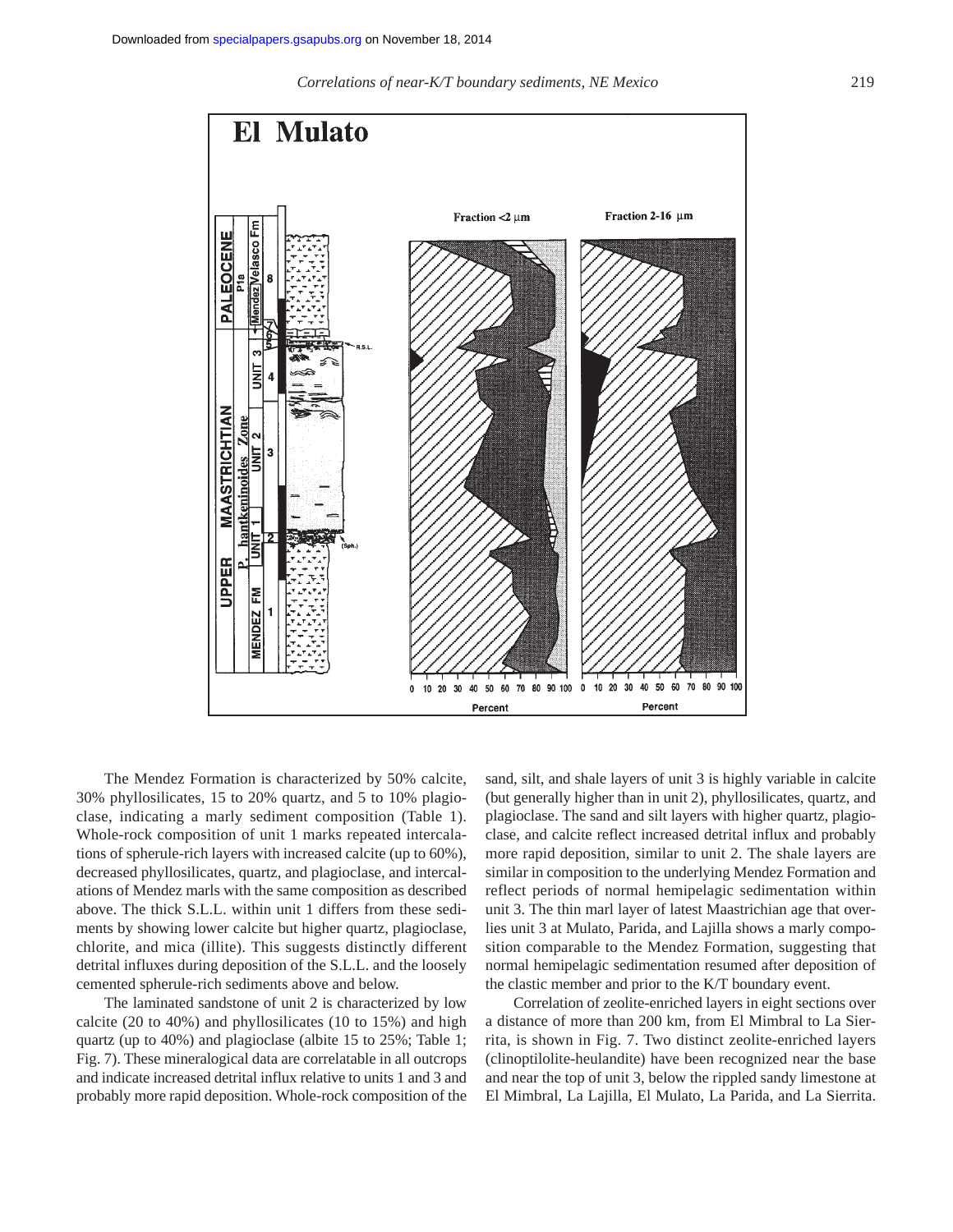*Correlations of near-K/T boundary sediments, NE Mexico* 219



The Mendez Formation is characterized by 50% calcite, 30% phyllosilicates, 15 to 20% quartz, and 5 to 10% plagioclase, indicating a marly sediment composition (Table 1). Whole-rock composition of unit 1 marks repeated intercalations of spherule-rich layers with increased calcite (up to 60%), decreased phyllosilicates, quartz, and plagioclase, and intercalations of Mendez marls with the same composition as described above. The thick S.L.L. within unit 1 differs from these sediments by showing lower calcite but higher quartz, plagioclase, chlorite, and mica (illite). This suggests distinctly different detrital influxes during deposition of the S.L.L. and the loosely cemented spherule-rich sediments above and below.

The laminated sandstone of unit 2 is characterized by low calcite (20 to 40%) and phyllosilicates (10 to 15%) and high quartz (up to 40%) and plagioclase (albite 15 to 25%; Table 1; Fig. 7). These mineralogical data are correlatable in all outcrops and indicate increased detrital influx relative to units 1 and 3 and probably more rapid deposition. Whole-rock composition of the

sand, silt, and shale layers of unit 3 is highly variable in calcite (but generally higher than in unit 2), phyllosilicates, quartz, and plagioclase. The sand and silt layers with higher quartz, plagioclase, and calcite reflect increased detrital influx and probably more rapid deposition, similar to unit 2. The shale layers are similar in composition to the underlying Mendez Formation and reflect periods of normal hemipelagic sedimentation within unit 3. The thin marl layer of latest Maastrichian age that overlies unit 3 at Mulato, Parida, and Lajilla shows a marly composition comparable to the Mendez Formation, suggesting that normal hemipelagic sedimentation resumed after deposition of the clastic member and prior to the K/T boundary event.

Correlation of zeolite-enriched layers in eight sections over a distance of more than 200 km, from El Mimbral to La Sierrita, is shown in Fig. 7. Two distinct zeolite-enriched layers (clinoptilolite-heulandite) have been recognized near the base and near the top of unit 3, below the rippled sandy limestone at El Mimbral, La Lajilla, El Mulato, La Parida, and La Sierrita.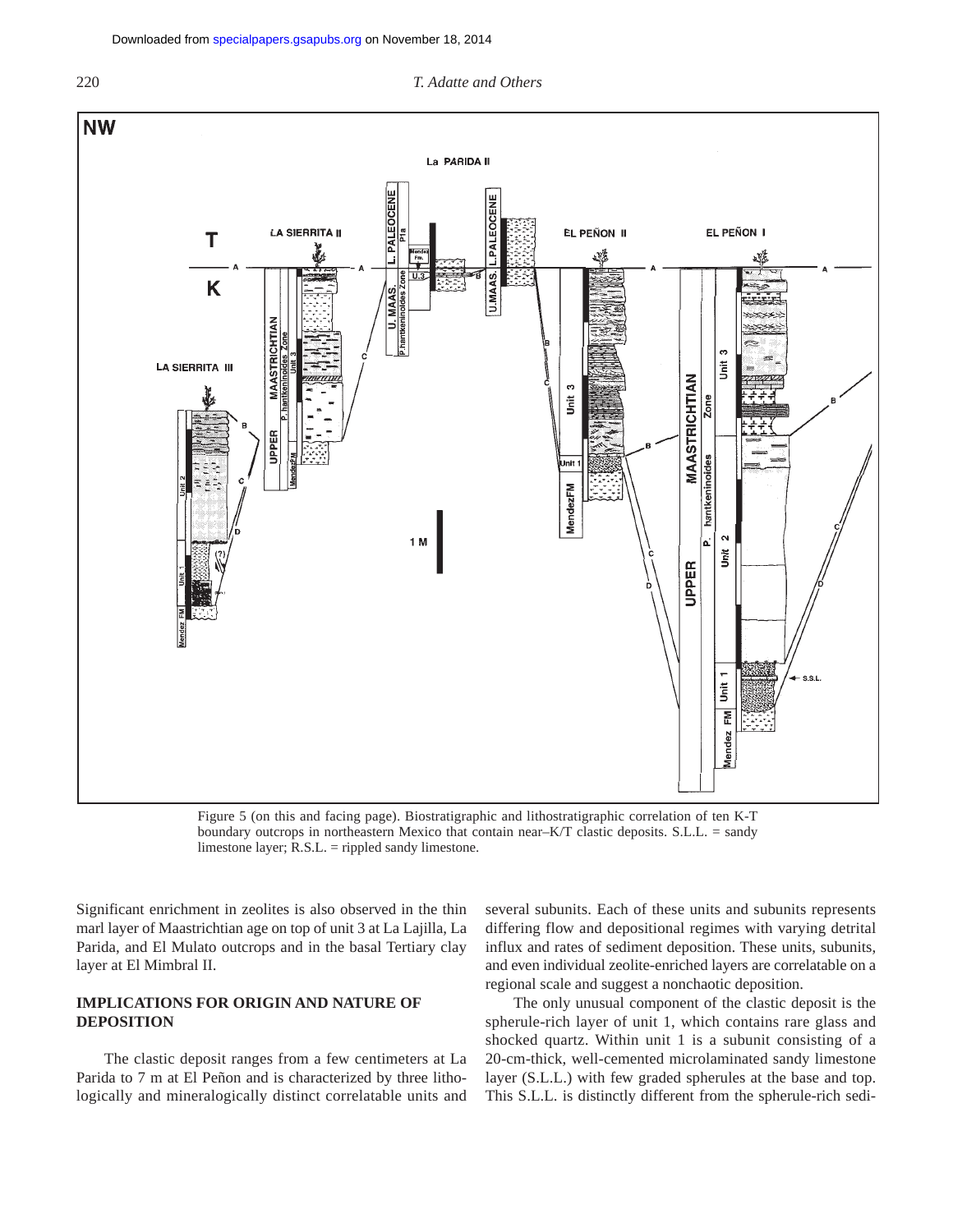



Figure 5 (on this and facing page). Biostratigraphic and lithostratigraphic correlation of ten K-T boundary outcrops in northeastern Mexico that contain near– $K/T$  clastic deposits. S.L.L. = sandy limestone layer; R.S.L. = rippled sandy limestone.

Significant enrichment in zeolites is also observed in the thin marl layer of Maastrichtian age on top of unit 3 at La Lajilla, La Parida, and El Mulato outcrops and in the basal Tertiary clay layer at El Mimbral II.

# **IMPLICATIONS FOR ORIGIN AND NATURE OF DEPOSITION**

The clastic deposit ranges from a few centimeters at La Parida to 7 m at El Peñon and is characterized by three lithologically and mineralogically distinct correlatable units and several subunits. Each of these units and subunits represents differing flow and depositional regimes with varying detrital influx and rates of sediment deposition. These units, subunits, and even individual zeolite-enriched layers are correlatable on a regional scale and suggest a nonchaotic deposition.

The only unusual component of the clastic deposit is the spherule-rich layer of unit 1, which contains rare glass and shocked quartz. Within unit 1 is a subunit consisting of a 20-cm-thick, well-cemented microlaminated sandy limestone layer (S.L.L.) with few graded spherules at the base and top. This S.L.L. is distinctly different from the spherule-rich sedi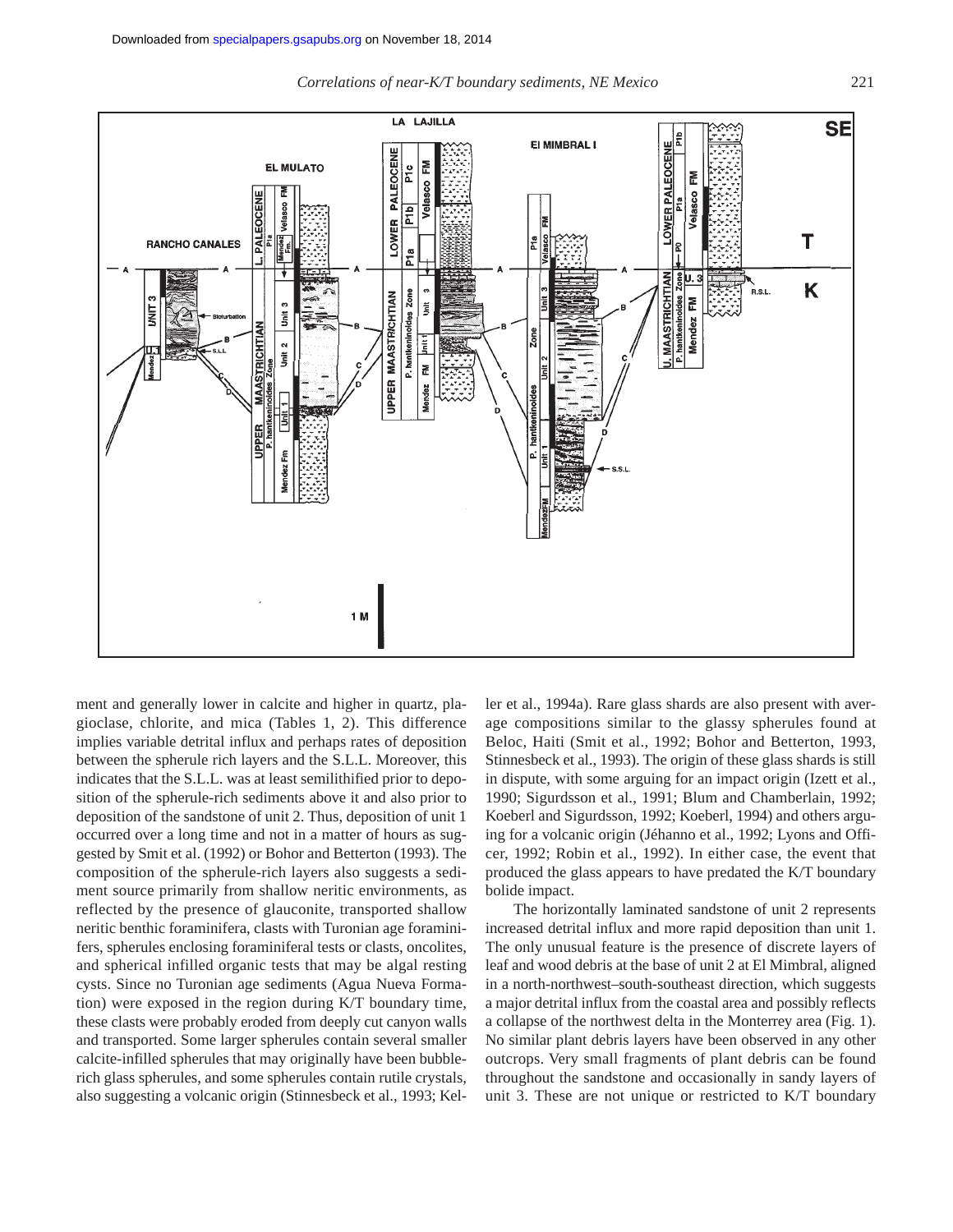*Correlations of near-K/T boundary sediments, NE Mexico* 221



ment and generally lower in calcite and higher in quartz, plagioclase, chlorite, and mica (Tables 1, 2). This difference implies variable detrital influx and perhaps rates of deposition between the spherule rich layers and the S.L.L. Moreover, this indicates that the S.L.L. was at least semilithified prior to deposition of the spherule-rich sediments above it and also prior to deposition of the sandstone of unit 2. Thus, deposition of unit 1 occurred over a long time and not in a matter of hours as suggested by Smit et al. (1992) or Bohor and Betterton (1993). The composition of the spherule-rich layers also suggests a sediment source primarily from shallow neritic environments, as reflected by the presence of glauconite, transported shallow neritic benthic foraminifera, clasts with Turonian age foraminifers, spherules enclosing foraminiferal tests or clasts, oncolites, and spherical infilled organic tests that may be algal resting cysts. Since no Turonian age sediments (Agua Nueva Formation) were exposed in the region during K/T boundary time, these clasts were probably eroded from deeply cut canyon walls and transported. Some larger spherules contain several smaller calcite-infilled spherules that may originally have been bubblerich glass spherules, and some spherules contain rutile crystals, also suggesting a volcanic origin (Stinnesbeck et al., 1993; Keller et al., 1994a). Rare glass shards are also present with average compositions similar to the glassy spherules found at Beloc, Haiti (Smit et al., 1992; Bohor and Betterton, 1993, Stinnesbeck et al., 1993). The origin of these glass shards is still in dispute, with some arguing for an impact origin (Izett et al., 1990; Sigurdsson et al., 1991; Blum and Chamberlain, 1992; Koeberl and Sigurdsson, 1992; Koeberl, 1994) and others arguing for a volcanic origin (Jéhanno et al., 1992; Lyons and Officer, 1992; Robin et al., 1992). In either case, the event that produced the glass appears to have predated the K/T boundary bolide impact.

The horizontally laminated sandstone of unit 2 represents increased detrital influx and more rapid deposition than unit 1. The only unusual feature is the presence of discrete layers of leaf and wood debris at the base of unit 2 at El Mimbral, aligned in a north-northwest–south-southeast direction, which suggests a major detrital influx from the coastal area and possibly reflects a collapse of the northwest delta in the Monterrey area (Fig. 1). No similar plant debris layers have been observed in any other outcrops. Very small fragments of plant debris can be found throughout the sandstone and occasionally in sandy layers of unit 3. These are not unique or restricted to K/T boundary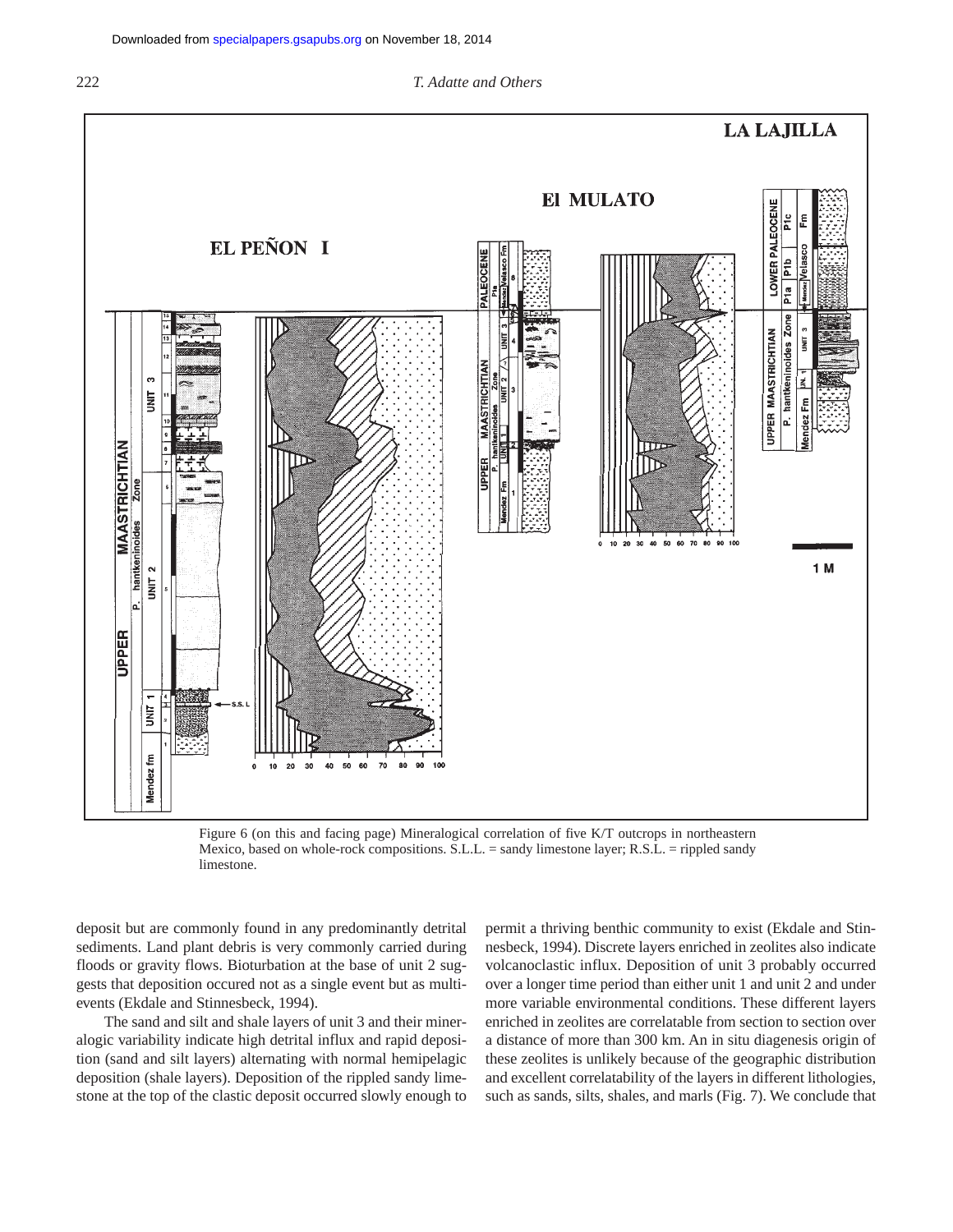

Figure 6 (on this and facing page) Mineralogical correlation of five K/T outcrops in northeastern Mexico, based on whole-rock compositions. S.L.L. = sandy limestone layer; R.S.L. = rippled sandy limestone.

deposit but are commonly found in any predominantly detrital sediments. Land plant debris is very commonly carried during floods or gravity flows. Bioturbation at the base of unit 2 suggests that deposition occured not as a single event but as multievents (Ekdale and Stinnesbeck, 1994).

The sand and silt and shale layers of unit 3 and their mineralogic variability indicate high detrital influx and rapid deposition (sand and silt layers) alternating with normal hemipelagic deposition (shale layers). Deposition of the rippled sandy limestone at the top of the clastic deposit occurred slowly enough to

permit a thriving benthic community to exist (Ekdale and Stinnesbeck, 1994). Discrete layers enriched in zeolites also indicate volcanoclastic influx. Deposition of unit 3 probably occurred over a longer time period than either unit 1 and unit 2 and under more variable environmental conditions. These different layers enriched in zeolites are correlatable from section to section over a distance of more than 300 km. An in situ diagenesis origin of these zeolites is unlikely because of the geographic distribution and excellent correlatability of the layers in different lithologies, such as sands, silts, shales, and marls (Fig. 7). We conclude that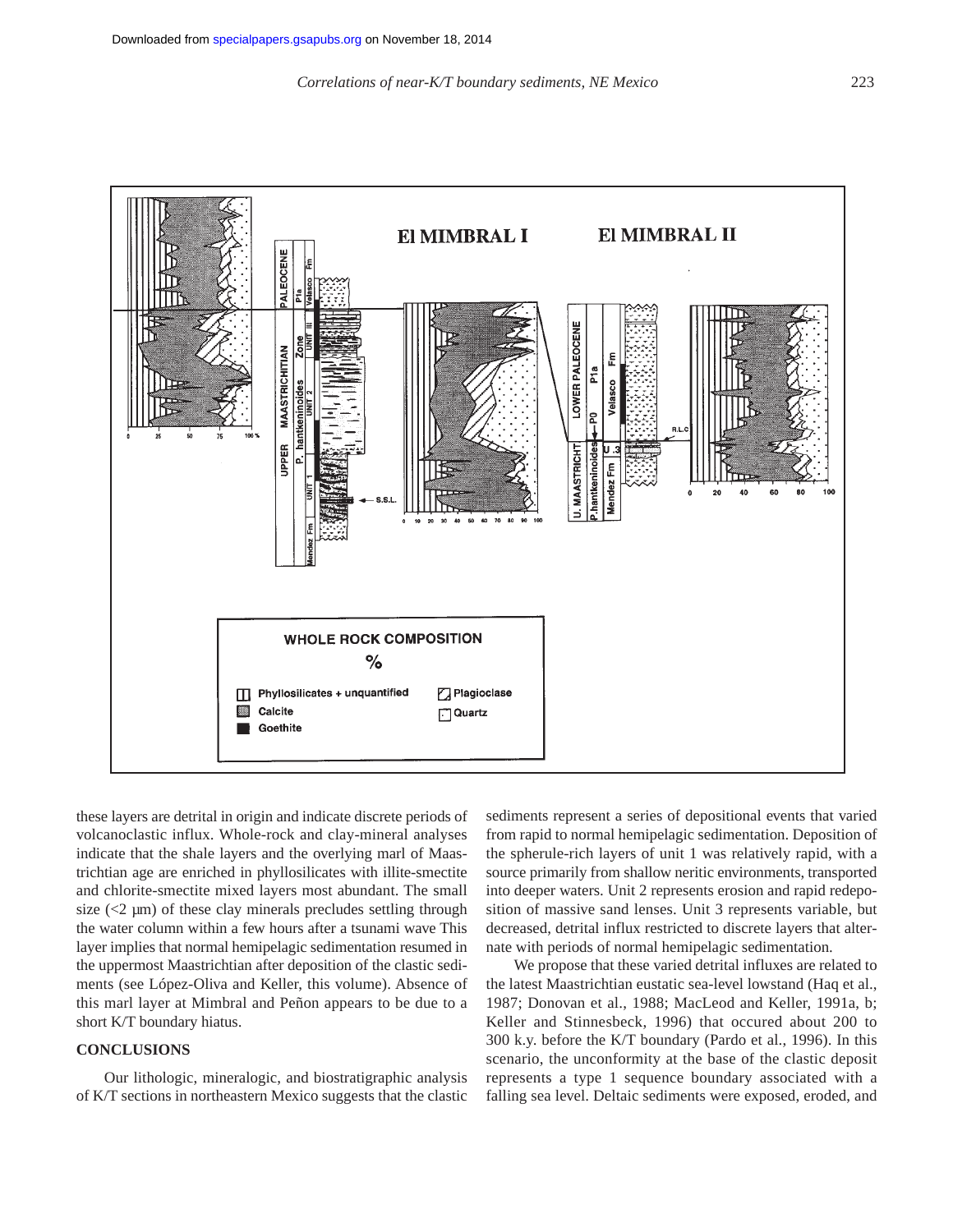

these layers are detrital in origin and indicate discrete periods of volcanoclastic influx. Whole-rock and clay-mineral analyses indicate that the shale layers and the overlying marl of Maastrichtian age are enriched in phyllosilicates with illite-smectite and chlorite-smectite mixed layers most abundant. The small size  $(<2 \mu m)$  of these clay minerals precludes settling through the water column within a few hours after a tsunami wave This layer implies that normal hemipelagic sedimentation resumed in the uppermost Maastrichtian after deposition of the clastic sediments (see López-Oliva and Keller, this volume). Absence of this marl layer at Mimbral and Peñon appears to be due to a short K/T boundary hiatus.

# **CONCLUSIONS**

Our lithologic, mineralogic, and biostratigraphic analysis of K/T sections in northeastern Mexico suggests that the clastic

sediments represent a series of depositional events that varied from rapid to normal hemipelagic sedimentation. Deposition of the spherule-rich layers of unit 1 was relatively rapid, with a source primarily from shallow neritic environments, transported into deeper waters. Unit 2 represents erosion and rapid redeposition of massive sand lenses. Unit 3 represents variable, but decreased, detrital influx restricted to discrete layers that alternate with periods of normal hemipelagic sedimentation.

We propose that these varied detrital influxes are related to the latest Maastrichtian eustatic sea-level lowstand (Haq et al., 1987; Donovan et al., 1988; MacLeod and Keller, 1991a, b; Keller and Stinnesbeck, 1996) that occured about 200 to 300 k.y. before the K/T boundary (Pardo et al., 1996). In this scenario, the unconformity at the base of the clastic deposit represents a type 1 sequence boundary associated with a falling sea level. Deltaic sediments were exposed, eroded, and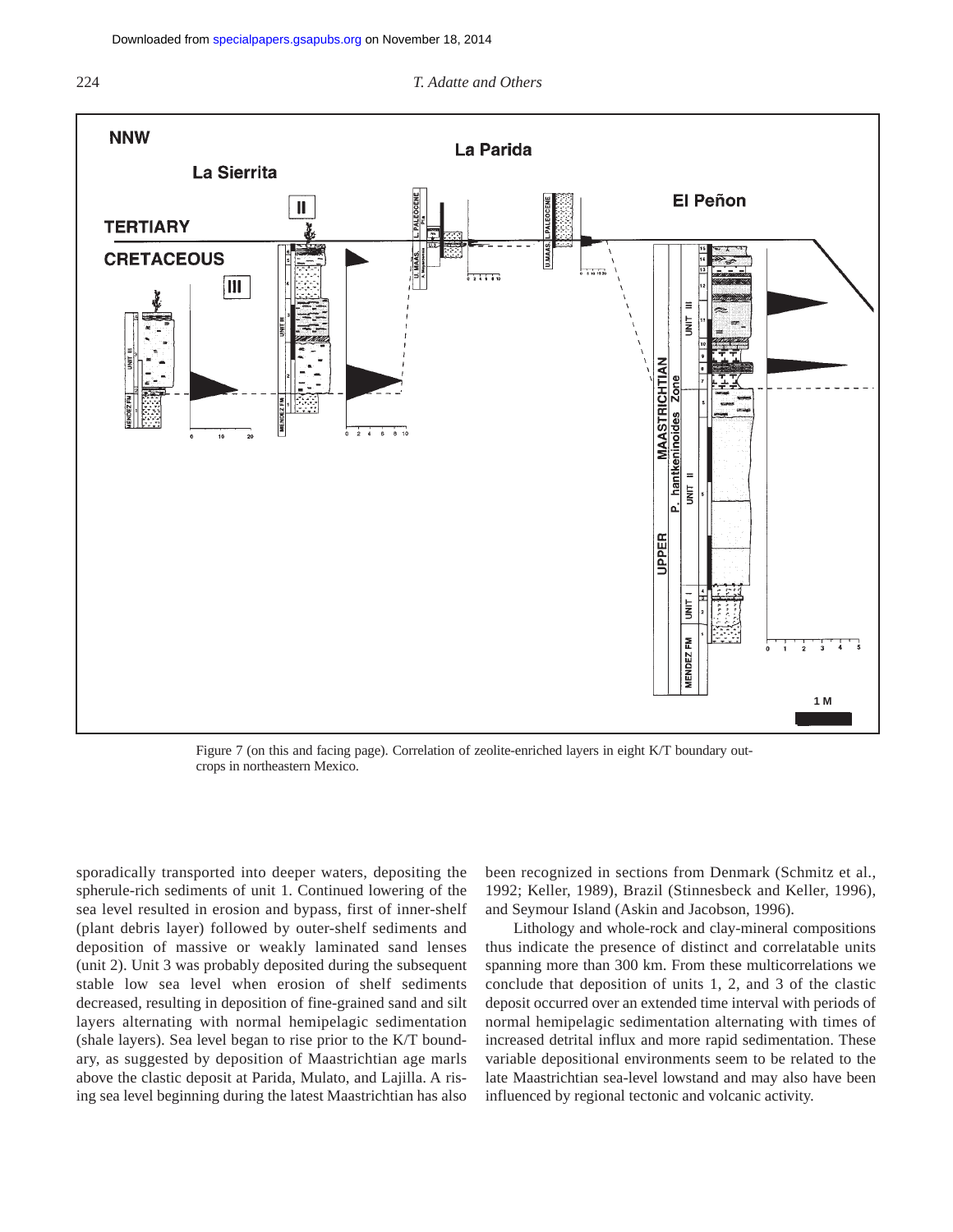#### 224 *T. Adatte and Others*



Figure 7 (on this and facing page). Correlation of zeolite-enriched layers in eight K/T boundary outcrops in northeastern Mexico.

sporadically transported into deeper waters, depositing the spherule-rich sediments of unit 1. Continued lowering of the sea level resulted in erosion and bypass, first of inner-shelf (plant debris layer) followed by outer-shelf sediments and deposition of massive or weakly laminated sand lenses (unit 2). Unit 3 was probably deposited during the subsequent stable low sea level when erosion of shelf sediments decreased, resulting in deposition of fine-grained sand and silt layers alternating with normal hemipelagic sedimentation (shale layers). Sea level began to rise prior to the K/T boundary, as suggested by deposition of Maastrichtian age marls above the clastic deposit at Parida, Mulato, and Lajilla. A rising sea level beginning during the latest Maastrichtian has also

been recognized in sections from Denmark (Schmitz et al., 1992; Keller, 1989), Brazil (Stinnesbeck and Keller, 1996), and Seymour Island (Askin and Jacobson, 1996).

Lithology and whole-rock and clay-mineral compositions thus indicate the presence of distinct and correlatable units spanning more than 300 km. From these multicorrelations we conclude that deposition of units 1, 2, and 3 of the clastic deposit occurred over an extended time interval with periods of normal hemipelagic sedimentation alternating with times of increased detrital influx and more rapid sedimentation. These variable depositional environments seem to be related to the late Maastrichtian sea-level lowstand and may also have been influenced by regional tectonic and volcanic activity.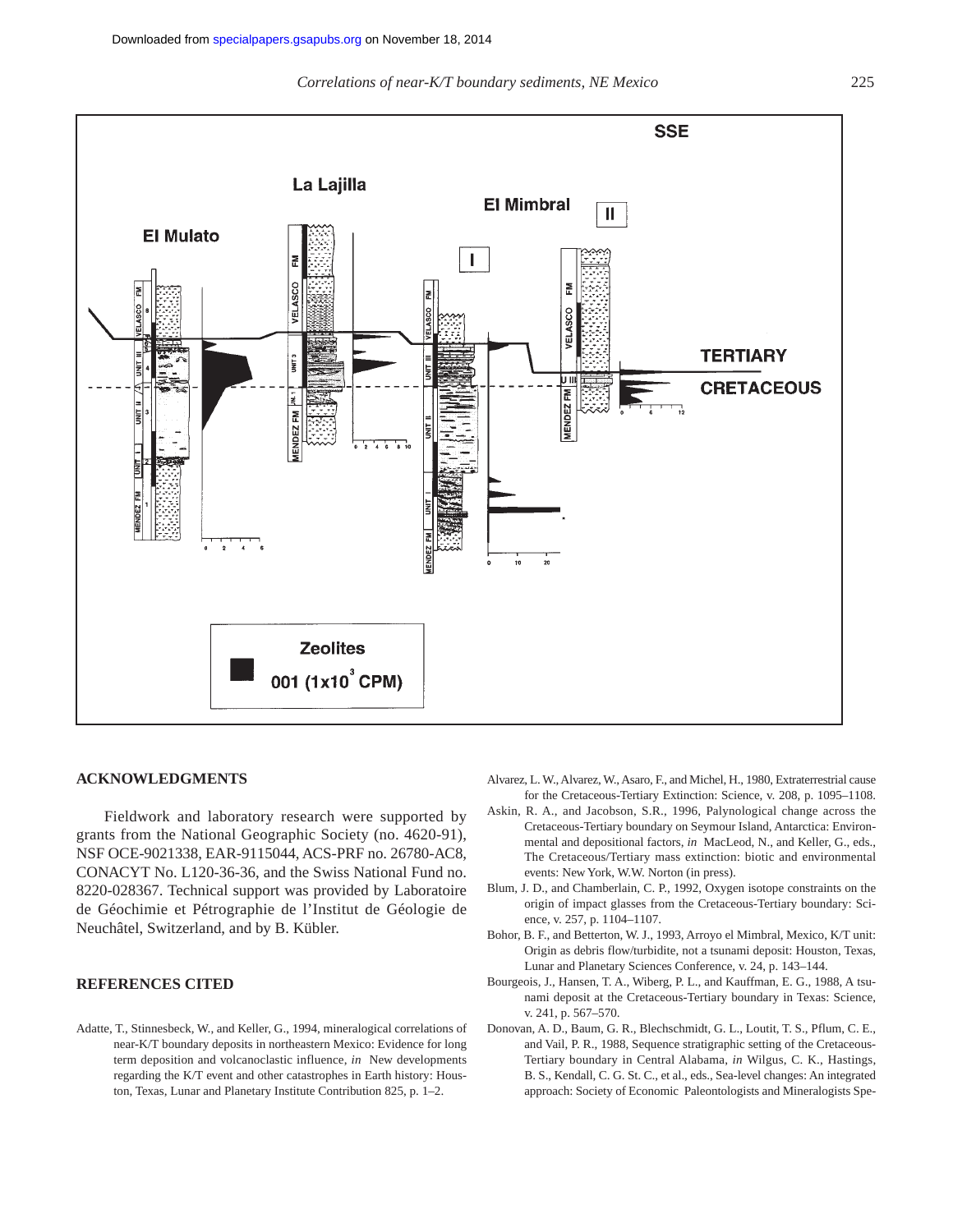

# **ACKNOWLEDGMENTS**

Fieldwork and laboratory research were supported by grants from the National Geographic Society (no. 4620-91), NSF OCE-9021338, EAR-9115044, ACS-PRF no. 26780-AC8, CONACYT No. L120-36-36, and the Swiss National Fund no. 8220-028367. Technical support was provided by Laboratoire de Géochimie et Pétrographie de l'Institut de Géologie de Neuchâtel, Switzerland, and by B. Kübler.

# **REFERENCES CITED**

Adatte, T., Stinnesbeck, W., and Keller, G., 1994, mineralogical correlations of near-K/T boundary deposits in northeastern Mexico: Evidence for long term deposition and volcanoclastic influence, *in* New developments regarding the K/T event and other catastrophes in Earth history: Houston, Texas, Lunar and Planetary Institute Contribution 825, p. 1–2.

- Alvarez, L. W., Alvarez, W., Asaro, F., and Michel, H., 1980, Extraterrestrial cause for the Cretaceous-Tertiary Extinction: Science, v. 208, p. 1095–1108.
- Askin, R. A., and Jacobson, S.R., 1996, Palynological change across the Cretaceous-Tertiary boundary on Seymour Island, Antarctica: Environmental and depositional factors, *in* MacLeod, N., and Keller, G., eds., The Cretaceous/Tertiary mass extinction: biotic and environmental events: New York, W.W. Norton (in press).
- Blum, J. D., and Chamberlain, C. P., 1992, Oxygen isotope constraints on the origin of impact glasses from the Cretaceous-Tertiary boundary: Science, v. 257, p. 1104–1107.
- Bohor, B. F., and Betterton, W. J., 1993, Arroyo el Mimbral, Mexico, K/T unit: Origin as debris flow/turbidite, not a tsunami deposit: Houston, Texas, Lunar and Planetary Sciences Conference, v. 24, p. 143–144.
- Bourgeois, J., Hansen, T. A., Wiberg, P. L., and Kauffman, E. G., 1988, A tsunami deposit at the Cretaceous-Tertiary boundary in Texas: Science, v. 241, p. 567–570.
- Donovan, A. D., Baum, G. R., Blechschmidt, G. L., Loutit, T. S., Pflum, C. E., and Vail, P. R., 1988, Sequence stratigraphic setting of the Cretaceous-Tertiary boundary in Central Alabama, *in* Wilgus, C. K., Hastings, B. S., Kendall, C. G. St. C., et al., eds., Sea-level changes: An integrated approach: Society of Economic Paleontologists and Mineralogists Spe-